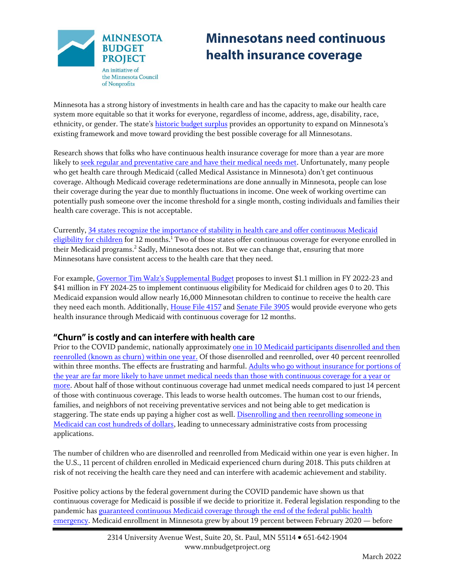

# **Minnesotans need continuous** health insurance coverage

Minnesota has a strong history of investments in health care and has the capacity to make our health care system more equitable so that it works for everyone, regardless of income, address, age, disability, race, ethnicity, or gender. The state's [historic budget surplus](https://www.mnbudgetproject.org/blogdetails/minnesota-budget-bites/2022/03/01/new-budget-forecast-continues-to-show-resources-available-to-build-an-equitable-recovery) provides an opportunity to expand on Minnesota's existing framework and move toward providing the best possible coverage for all Minnesotans.

Research shows that folks who have continuous health insurance coverage for more than a year are more likely t[o seek regular and preventative care and have their medical needs met.](https://www.cdc.gov/nchs/products/databriefs/db249.htm) Unfortunately, many people who get health care through Medicaid (called Medical Assistance in Minnesota) don't get continuous coverage. Although Medicaid coverage redeterminations are done annually in Minnesota, people can lose their coverage during the year due to monthly fluctuations in income. One week of working overtime can potentially push someone over the income threshold for a single month, costing individuals and families their health care coverage. This is not acceptable.

Currently, 34 states recognize the importance of [stability in health care and offer continuous Medicaid](https://www.medicaid.gov/medicaid/enrollment-strategies/continuous-eligibility-medicaid-and-chip-coverage/index.html)  [eligibility for children](https://www.medicaid.gov/medicaid/enrollment-strategies/continuous-eligibility-medicaid-and-chip-coverage/index.html) for 12 months.<sup>1</sup> Two of those states offer continuous coverage for everyone enrolled in their Medicaid programs. <sup>2</sup> Sadly, Minnesota does not. But we can change that, ensuring that more Minnesotans have consistent access to the health care that they need.

For example, [Governor Tim Walz's Supplemental Budget](https://www.mnbudgetproject.org/blogdetails/minnesota-budget-bites/2022/02/02/a-first-look-at-governor-walz-s-supplemental-budget-proposal) proposes to invest \$1.1 million in FY 2022-23 and \$41 million in FY 2024-25 to implement continuous eligibility for Medicaid for children ages 0 to 20. This Medicaid expansion would allow nearly 16,000 Minnesotan children to continue to receive the health care they need each month. Additionally[, House File 4157](https://www.revisor.mn.gov/bills/bill.php?b=House&f=HF4157&ssn=0&y=2022) an[d Senate File 3905](https://www.revisor.mn.gov/bills/bill.php?f=SF3905&y=2022&ssn=0&b=senate) would provide everyone who gets health insurance through Medicaid with continuous coverage for 12 months.

#### "Churn" is costly and can interfere with health care

Prior to the COVID pandemic, nationally approximatel[y one in 10 Medicaid participants](https://www.kff.org/medicaid/issue-brief/medicaid-enrollment-churn-and-implications-for-continuous-coverage-policies/) disenrolled and then [reenrolled \(known as churn\) within one year.](https://www.kff.org/medicaid/issue-brief/medicaid-enrollment-churn-and-implications-for-continuous-coverage-policies/) Of those disenrolled and reenrolled, over 40 percent reenrolled within three months. The effects are frustrating and harmful. [Adults who go without insurance for portions of](https://www.cdc.gov/nchs/products/databriefs/db249.htm)  [the year are far more likely to have unmet medical needs than those with continuous coverage for a year or](https://www.cdc.gov/nchs/products/databriefs/db249.htm)  [more.](https://www.cdc.gov/nchs/products/databriefs/db249.htm) About half of those without continuous coverage had unmet medical needs compared to just 14 percent of those with continuous coverage. This leads to worse health outcomes. The human cost to our friends, families, and neighbors of not receiving preventative services and not being able to get medication is staggering. The state ends up paying a higher cost as well. Disenrolling and then reenrolling someone in [Medicaid can cost hundreds of dollars,](https://www.ncbi.nlm.nih.gov/pmc/articles/PMC4664196/pdf/nihms708512.pdf) leading to unnecessary administrative costs from processing applications.

The number of children who are disenrolled and reenrolled from Medicaid within one year is even higher. In the U.S., 11 percent of children enrolled in Medicaid experienced churn during 2018. This puts children at risk of not receiving the health care they need and can interfere with academic achievement and stability.

Positive policy actions by the federal government during the COVID pandemic have shown us that continuous coverage for Medicaid is possible if we decide to prioritize it. Federal legislation responding to the pandemic has [guaranteed continuous Medicaid coverage through the end of the federal public health](https://ccf.georgetown.edu/2022/01/14/secretary-becerra-extends-the-phe-what-does-this-mean-for-medicaid-and-the-continuous-enrollment-provision/)  [emergency.](https://ccf.georgetown.edu/2022/01/14/secretary-becerra-extends-the-phe-what-does-this-mean-for-medicaid-and-the-continuous-enrollment-provision/) Medicaid enrollment in Minnesota grew by about 19 percent between February 2020 — before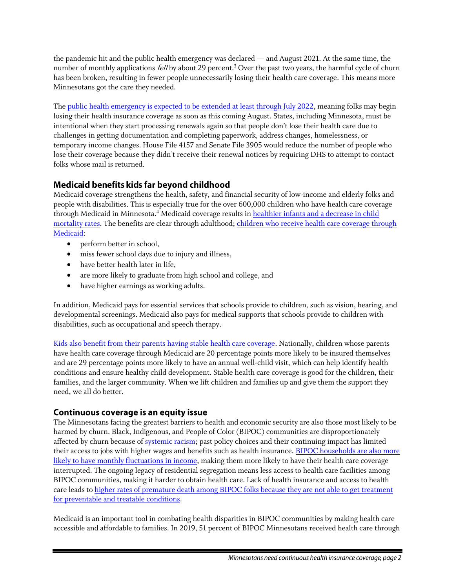the pandemic hit and the public health emergency was declared — and August 2021. At the same time, the number of monthly applications *fell* by about 29 percent.<sup>3</sup> Over the past two years, the harmful cycle of churn has been broken, resulting in fewer people unnecessarily losing their health care coverage. This means more Minnesotans got the care they needed.

The [public health emergency is expected to be extended at least through July 2022,](https://www.kff.org/policy-watch/without-build-back-better-will-the-end-of-the-public-health-emergency-leave-even-more-people-uninsured/) meaning folks may begin losing their health insurance coverage as soon as this coming August. States, including Minnesota, must be intentional when they start processing renewals again so that people don't lose their health care due to challenges in getting documentation and completing paperwork, address changes, homelessness, or temporary income changes. House File 4157 and Senate File 3905 would reduce the number of people who lose their coverage because they didn't receive their renewal notices by requiring DHS to attempt to contact folks whose mail is returned.

## Medicaid benefits kids far beyond childhood

Medicaid coverage strengthens the health, safety, and financial security of low-income and elderly folks and people with disabilities. This is especially true for the over 600,000 children who have health care coverage through Medicaid in Minnesota.<sup>4</sup> Medicaid coverage results in healthier infants and a decrease in child [mortality rates.](https://www.kff.org/report-section/medicaid-initiatives-to-improve-maternal-and-infant-health-and-address-racial-disparities-issue-brief/) The benefits are clear through adulthood; [children who receive health care coverage through](https://www.cbpp.org/research/health/medicaid-helps-schools-help-children)  [Medicaid:](https://www.cbpp.org/research/health/medicaid-helps-schools-help-children)

- perform better in school,
- miss fewer school days due to injury and illness,
- have better health later in life,
- are more likely to graduate from high school and college, and
- have higher earnings as working adults.

In addition, Medicaid pays for essential services that schools provide to children, such as vision, hearing, and developmental screenings. Medicaid also pays for medical supports that schools provide to children with disabilities, such as occupational and speech therapy.

[Kids also benefit from their parents having stable health care coverage.](https://www.cbpp.org/research/health/expanding-medicaid-for-parents-improves-coverage-and-health-for-both-parents-and) Nationally, children whose parents have health care coverage through Medicaid are 20 percentage points more likely to be insured themselves and are 29 percentage points more likely to have an annual well-child visit, which can help identify health conditions and ensure healthy child development. Stable health care coverage is good for the children, their families, and the larger community. When we lift children and families up and give them the support they need, we all do better.

## Continuous coverage is an equity issue

The Minnesotans facing the greatest barriers to health and economic security are also those most likely to be harmed by churn. Black, Indigenous, and People of Color (BIPOC) communities are disproportionately affected by churn because of [systemic racism;](https://www.epi.org/publication/preemption-in-the-midwest/) past policy choices and their continuing impact has limited their access to jobs with higher wages and benefits such as health insurance. [BIPOC households are](https://aspe.hhs.gov/sites/default/files/private/pdf/265366/medicaid-churning-ib.pdf) also more likely to have [monthly fluctuations in income,](https://aspe.hhs.gov/sites/default/files/private/pdf/265366/medicaid-churning-ib.pdf) making them more likely to have their health care coverage interrupted. The ongoing legacy of residential segregation means less access to health care facilities among BIPOC communities, making it harder to obtain health care. Lack of health insurance and access to health care leads to [higher rates of premature death among BIPOC folks because they are not able to get treatment](https://www.health.state.mn.us/data/economics/docs/coverage/mortality.pdf)  [for preventable and treatable conditions.](https://www.health.state.mn.us/data/economics/docs/coverage/mortality.pdf)

Medicaid is an important tool in combating health disparities in BIPOC communities by making health care accessible and affordable to families. In 2019, 51 percent of BIPOC Minnesotans received health care through